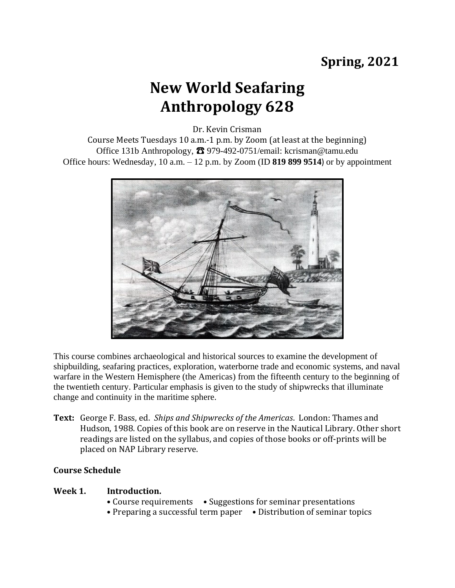## **Spring, 2021**

# **New World Seafaring Anthropology 628**

Dr. Kevin Crisman

Course Meets Tuesdays 10 a.m.-1 p.m. by Zoom (at least at the beginning) Office 131b Anthropology,  $\bullet$  979-492-0751/email: kcrisman@tamu.edu Office hours: Wednesday, 10 a.m. – 12 p.m. by Zoom (ID **819 899 9514**) or by appointment



This course combines archaeological and historical sources to examine the development of shipbuilding, seafaring practices, exploration, waterborne trade and economic systems, and naval warfare in the Western Hemisphere (the Americas) from the fifteenth century to the beginning of the twentieth century. Particular emphasis is given to the study of shipwrecks that illuminate change and continuity in the maritime sphere.

**Text:** George F. Bass, ed. *Ships and Shipwrecks of the Americas*. London: Thames and Hudson, 1988. Copies of this book are on reserve in the Nautical Library. Other short readings are listed on the syllabus, and copies of those books or off-prints will be placed on NAP Library reserve.

### **Course Schedule**

#### **Week 1. Introduction.**

- Course requirements Suggestions for seminar presentations
- Preparing a successful term paper Distribution of seminar topics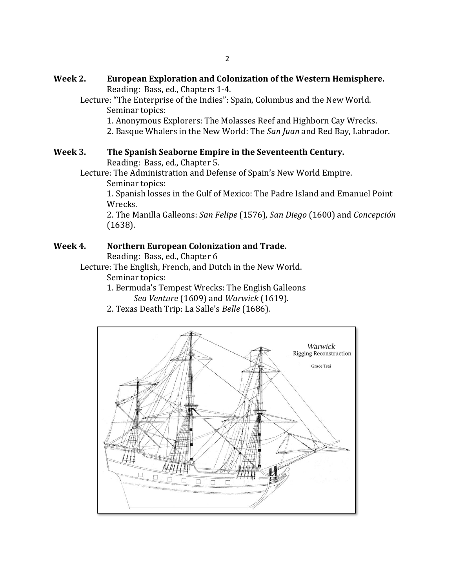- **Week 2. European Exploration and Colonization of the Western Hemisphere.** Reading: Bass, ed., Chapters 1-4.
	- Lecture: "The Enterprise of the Indies": Spain, Columbus and the New World. Seminar topics:
		- 1. Anonymous Explorers: The Molasses Reef and Highborn Cay Wrecks.
		- 2. Basque Whalers in the New World: The *San Juan* and Red Bay, Labrador.

#### **Week 3. The Spanish Seaborne Empire in the Seventeenth Century.**  Reading: Bass, ed., Chapter 5.

Lecture: The Administration and Defense of Spain's New World Empire. Seminar topics:

1. Spanish losses in the Gulf of Mexico: The Padre Island and Emanuel Point Wrecks.

2. The Manilla Galleons: *San Felipe* (1576), *San Diego* (1600) and *Concepción* (1638).

### **Week 4. Northern European Colonization and Trade.**

Reading: Bass, ed., Chapter 6

Lecture: The English, French, and Dutch in the New World.

Seminar topics:

- 1. Bermuda's Tempest Wrecks: The English Galleons *Sea Venture* (1609) and *Warwick* (1619).
- 2. Texas Death Trip: La Salle's *Belle* (1686).

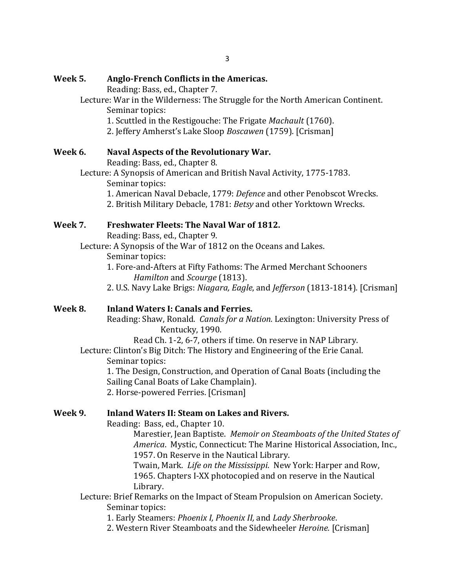### **Week 5. Anglo-French Conflicts in the Americas.**

Reading: Bass, ed., Chapter 7.

- Lecture: War in the Wilderness: The Struggle for the North American Continent. Seminar topics:
	- 1. Scuttled in the Restigouche: The Frigate *Machault* (1760).
	- 2. Jeffery Amherst's Lake Sloop *Boscawen* (1759). [Crisman]

### **Week 6. Naval Aspects of the Revolutionary War.**

Reading: Bass, ed., Chapter 8.

- Lecture: A Synopsis of American and British Naval Activity, 1775-1783. Seminar topics:
	- 1. American Naval Debacle, 1779: *Defence* and other Penobscot Wrecks.
	- 2. British Military Debacle, 1781: *Betsy* and other Yorktown Wrecks.

### **Week 7. Freshwater Fleets: The Naval War of 1812.**

Reading: Bass, ed., Chapter 9.

Lecture: A Synopsis of the War of 1812 on the Oceans and Lakes. Seminar topics:

- 1. Fore-and-Afters at Fifty Fathoms: The Armed Merchant Schooners *Hamilton* and *Scourge* (1813).
- 2. U.S. Navy Lake Brigs: *Niagara, Eagle*, and *Jefferson* (1813-1814)*.* [Crisman]

## **Week 8. Inland Waters I: Canals and Ferries.**

Reading: Shaw, Ronald. *Canals for a Nation.* Lexington: University Press of Kentucky, 1990.

Read Ch. 1-2, 6-7, others if time. On reserve in NAP Library.

Lecture: Clinton's Big Ditch: The History and Engineering of the Erie Canal. Seminar topics:

1. The Design, Construction, and Operation of Canal Boats (including the Sailing Canal Boats of Lake Champlain).

2. Horse-powered Ferries. [Crisman]

### **Week 9. Inland Waters II: Steam on Lakes and Rivers.**

Reading: Bass, ed., Chapter 10.

Marestier, Jean Baptiste. *Memoir on Steamboats of the United States of America*. Mystic, Connecticut: The Marine Historical Association, Inc., 1957. On Reserve in the Nautical Library.

Twain, Mark. *Life on the Mississippi*. New York: Harper and Row, 1965. Chapters I-XX photocopied and on reserve in the Nautical Library.

Lecture: Brief Remarks on the Impact of Steam Propulsion on American Society. Seminar topics:

1. Early Steamers: *Phoenix I, Phoenix II,* and *Lady Sherbrooke*.

2. Western River Steamboats and the Sidewheeler *Heroine.* [Crisman]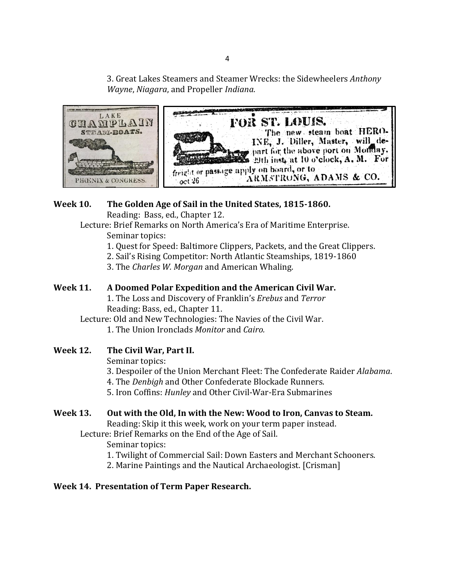3. Great Lakes Steamers and Steamer Wrecks: the Sidewheelers *Anthony Wayne*, *Niagara*, and Propeller *Indiana*.



## **Week 10. The Golden Age of Sail in the United States, 1815-1860.**

Reading: Bass, ed., Chapter 12.

Lecture: Brief Remarks on North America's Era of Maritime Enterprise. Seminar topics:

- 1. Quest for Speed: Baltimore Clippers, Packets, and the Great Clippers.
- 2. Sail's Rising Competitor: North Atlantic Steamships, 1819-1860
- 3. The *Charles W. Morgan* and American Whaling.

## **Week 11. A Doomed Polar Expedition and the American Civil War.**

1. The Loss and Discovery of Franklin's *Erebus* and *Terror* Reading: Bass, ed., Chapter 11.

Lecture: Old and New Technologies: The Navies of the Civil War.

1. The Union Ironclads *Monitor* and *Cairo.*

**Week 12. The Civil War, Part II.**

Seminar topics:

3. Despoiler of the Union Merchant Fleet: The Confederate Raider *Alabama*.

- 4. The *Denbigh* and Other Confederate Blockade Runners.
- 5. Iron Coffins: *Hunley* and Other Civil-War-Era Submarines

## **Week 13. Out with the Old, In with the New: Wood to Iron, Canvas to Steam.**

Reading: Skip it this week, work on your term paper instead.

Lecture: Brief Remarks on the End of the Age of Sail.

Seminar topics:

- 1. Twilight of Commercial Sail: Down Easters and Merchant Schooners.
- 2. Marine Paintings and the Nautical Archaeologist. [Crisman]

## **Week 14. Presentation of Term Paper Research.**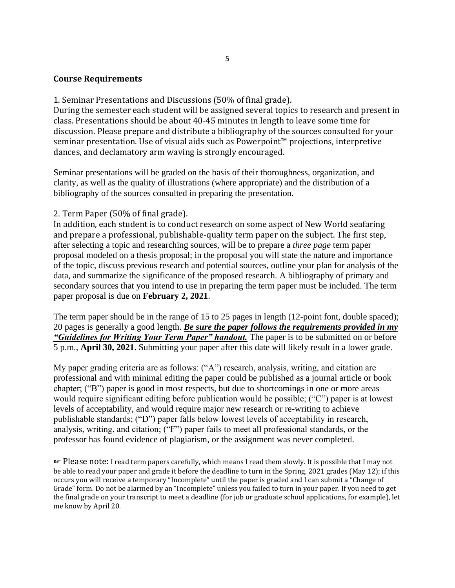#### **Course Requirements**

1. Seminar Presentations and Discussions (50% of final grade).

During the semester each student will be assigned several topics to research and present in class. Presentations should be about 40-45 minutes in length to leave some time for discussion. Please prepare and distribute a bibliography of the sources consulted for your seminar presentation. Use of visual aids such as Powerpoint™ projections, interpretive dances, and declamatory arm waving is strongly encouraged.

Seminar presentations will be graded on the basis of their thoroughness, organization, and clarity, as well as the quality of illustrations (where appropriate) and the distribution of a bibliography of the sources consulted in preparing the presentation.

#### 2. Term Paper (50% of final grade).

In addition, each student is to conduct research on some aspect of New World seafaring and prepare a professional, publishable-quality term paper on the subject. The first step, after selecting a topic and researching sources, will be to prepare a *three page* term paper proposal modeled on a thesis proposal; in the proposal you will state the nature and importance of the topic, discuss previous research and potential sources, outline your plan for analysis of the data, and summarize the significance of the proposed research. A bibliography of primary and secondary sources that you intend to use in preparing the term paper must be included. The term paper proposal is due on **February 2, 2021**.

The term paper should be in the range of 15 to 25 pages in length (12-point font, double spaced); 20 pages is generally a good length. *Be sure the paper follows the requirements provided in my "Guidelines for Writing Your Term Paper" handout.* The paper is to be submitted on or before 5 p.m., **April 30, 2021**. Submitting your paper after this date will likely result in a lower grade.

My paper grading criteria are as follows: ("A") research, analysis, writing, and citation are professional and with minimal editing the paper could be published as a journal article or book chapter; ("B") paper is good in most respects, but due to shortcomings in one or more areas would require significant editing before publication would be possible; ("C") paper is at lowest levels of acceptability, and would require major new research or re-writing to achieve publishable standards; ("D") paper falls below lowest levels of acceptability in research, analysis, writing, and citation; ("F") paper fails to meet all professional standards, or the professor has found evidence of plagiarism, or the assignment was never completed.

☞ Please note: I read term papers carefully, which means I read them slowly. It is possible that I may not be able to read your paper and grade it before the deadline to turn in the Spring, 2021 grades (May 12); if this occurs you will receive a temporary "Incomplete" until the paper is graded and I can submit a "Change of Grade" form. Do not be alarmed by an "Incomplete" unless you failed to turn in your paper. If you need to get the final grade on your transcript to meet a deadline (for job or graduate school applications, for example), let me know by April 20.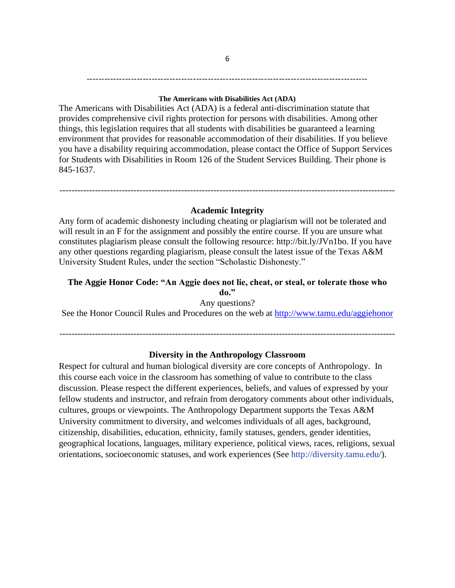# -----------------------------------------------------------------------------------------------

#### **The Americans with Disabilities Act (ADA)**

The Americans with Disabilities Act (ADA) is a federal anti-discrimination statute that provides comprehensive civil rights protection for persons with disabilities. Among other things, this legislation requires that all students with disabilities be guaranteed a learning environment that provides for reasonable accommodation of their disabilities. If you believe you have a disability requiring accommodation, please contact the Office of Support Services for Students with Disabilities in Room 126 of the Student Services Building. Their phone is 845-1637.

#### **Academic Integrity**

-----------------------------------------------------------------------------------------------------------------

Any form of academic dishonesty including cheating or plagiarism will not be tolerated and will result in an F for the assignment and possibly the entire course. If you are unsure what constitutes plagiarism please consult the following resource: http://bit.ly/JVn1bo. If you have any other questions regarding plagiarism, please consult the latest issue of the Texas A&M University Student Rules, under the section "Scholastic Dishonesty."

## **The Aggie Honor Code: "An Aggie does not lie, cheat, or steal, or tolerate those who**

**do."** Any questions?

See the Honor Council Rules and Procedures on the web at<http://www.tamu.edu/aggiehonor>

-----------------------------------------------------------------------------------------------------------------

#### **Diversity in the Anthropology Classroom**

Respect for cultural and human biological diversity are core concepts of Anthropology. In this course each voice in the classroom has something of value to contribute to the class discussion. Please respect the different experiences, beliefs, and values of expressed by your fellow students and instructor, and refrain from derogatory comments about other individuals, cultures, groups or viewpoints. The Anthropology Department supports the Texas A&M University commitment to diversity, and welcomes individuals of all ages, background, citizenship, disabilities, education, ethnicity, family statuses, genders, gender identities, geographical locations, languages, military experience, political views, races, religions, sexual orientations, socioeconomic statuses, and work experiences (See [http://diversity.tamu.edu/\)](http://diversity.tamu.edu/).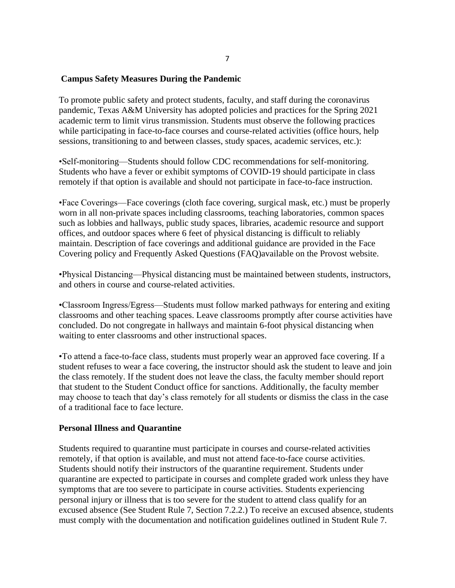#### **Campus Safety Measures During the Pandemic**

To promote public safety and protect students, faculty, and staff during the coronavirus pandemic, Texas A&M University has adopted policies and practices for the Spring 2021 academic term to limit virus transmission. Students must observe the following practices while participating in face-to-face courses and course-related activities (office hours, help sessions, transitioning to and between classes, study spaces, academic services, etc.):

•Self-monitoring—Students should follow CDC recommendations for self-monitoring. Students who have a fever or exhibit symptoms of COVID-19 should participate in class remotely if that option is available and should not participate in face-to-face instruction.

•Face Coverings—Face coverings (cloth face covering, surgical mask, etc.) must be properly worn in all non-private spaces including classrooms, teaching laboratories, common spaces such as lobbies and hallways, public study spaces, libraries, academic resource and support offices, and outdoor spaces where 6 feet of physical distancing is difficult to reliably maintain. Description of face coverings and additional guidance are provided in the Face Covering policy and Frequently Asked Questions (FAQ)available on the Provost website.

•Physical Distancing—Physical distancing must be maintained between students, instructors, and others in course and course-related activities.

•Classroom Ingress/Egress—Students must follow marked pathways for entering and exiting classrooms and other teaching spaces. Leave classrooms promptly after course activities have concluded. Do not congregate in hallways and maintain 6-foot physical distancing when waiting to enter classrooms and other instructional spaces.

•To attend a face-to-face class, students must properly wear an approved face covering. If a student refuses to wear a face covering, the instructor should ask the student to leave and join the class remotely. If the student does not leave the class, the faculty member should report that student to the Student Conduct office for sanctions. Additionally, the faculty member may choose to teach that day's class remotely for all students or dismiss the class in the case of a traditional face to face lecture.

#### **Personal Illness and Quarantine**

Students required to quarantine must participate in courses and course-related activities remotely, if that option is available, and must not attend face-to-face course activities. Students should notify their instructors of the quarantine requirement. Students under quarantine are expected to participate in courses and complete graded work unless they have symptoms that are too severe to participate in course activities. Students experiencing personal injury or illness that is too severe for the student to attend class qualify for an excused absence (See Student Rule 7, Section 7.2.2.) To receive an excused absence, students must comply with the documentation and notification guidelines outlined in Student Rule 7.